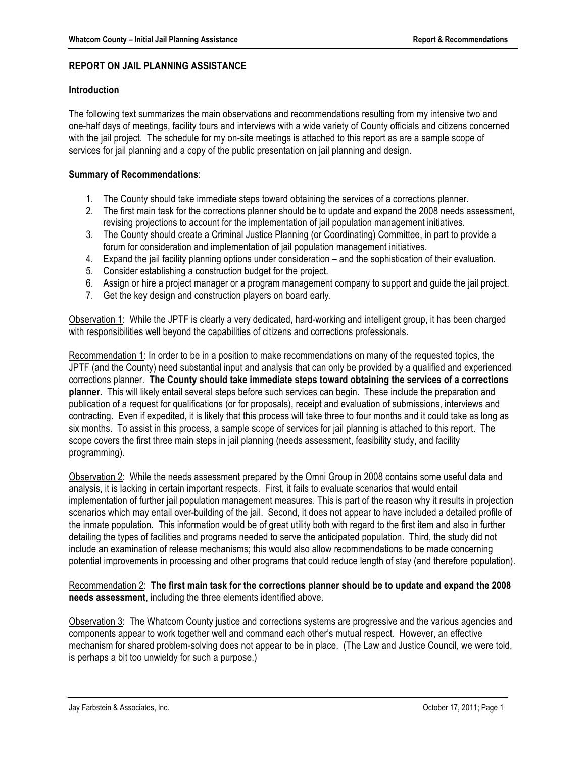# **REPORT ON JAIL PLANNING ASSISTANCE**

### **Introduction**

The following text summarizes the main observations and recommendations resulting from my intensive two and one-half days of meetings, facility tours and interviews with a wide variety of County officials and citizens concerned with the jail project. The schedule for my on-site meetings is attached to this report as are a sample scope of services for jail planning and a copy of the public presentation on jail planning and design.

### **Summary of Recommendations**:

- 1. The County should take immediate steps toward obtaining the services of a corrections planner.
- 2. The first main task for the corrections planner should be to update and expand the 2008 needs assessment, revising projections to account for the implementation of jail population management initiatives.
- 3. The County should create a Criminal Justice Planning (or Coordinating) Committee, in part to provide a forum for consideration and implementation of jail population management initiatives.
- 4. Expand the jail facility planning options under consideration and the sophistication of their evaluation.
- 5. Consider establishing a construction budget for the project.
- 6. Assign or hire a project manager or a program management company to support and guide the jail project.
- 7. Get the key design and construction players on board early.

Observation 1: While the JPTF is clearly a very dedicated, hard-working and intelligent group, it has been charged with responsibilities well beyond the capabilities of citizens and corrections professionals.

Recommendation 1: In order to be in a position to make recommendations on many of the requested topics, the JPTF (and the County) need substantial input and analysis that can only be provided by a qualified and experienced corrections planner. **The County should take immediate steps toward obtaining the services of a corrections planner.** This will likely entail several steps before such services can begin. These include the preparation and publication of a request for qualifications (or for proposals), receipt and evaluation of submissions, interviews and contracting. Even if expedited, it is likely that this process will take three to four months and it could take as long as six months. To assist in this process, a sample scope of services for jail planning is attached to this report. The scope covers the first three main steps in jail planning (needs assessment, feasibility study, and facility programming).

Observation 2: While the needs assessment prepared by the Omni Group in 2008 contains some useful data and analysis, it is lacking in certain important respects. First, it fails to evaluate scenarios that would entail implementation of further jail population management measures. This is part of the reason why it results in projection scenarios which may entail over-building of the jail. Second, it does not appear to have included a detailed profile of the inmate population. This information would be of great utility both with regard to the first item and also in further detailing the types of facilities and programs needed to serve the anticipated population. Third, the study did not include an examination of release mechanisms; this would also allow recommendations to be made concerning potential improvements in processing and other programs that could reduce length of stay (and therefore population).

# Recommendation 2: **The first main task for the corrections planner should be to update and expand the 2008 needs assessment**, including the three elements identified above.

Observation 3: The Whatcom County justice and corrections systems are progressive and the various agencies and components appear to work together well and command each other's mutual respect. However, an effective mechanism for shared problem-solving does not appear to be in place. (The Law and Justice Council, we were told, is perhaps a bit too unwieldy for such a purpose.)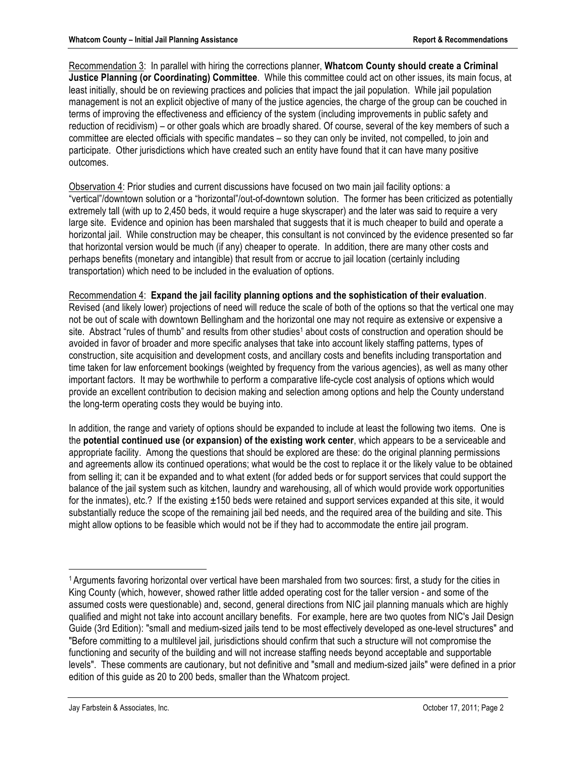Recommendation 3: In parallel with hiring the corrections planner, **Whatcom County should create a Criminal Justice Planning (or Coordinating) Committee**. While this committee could act on other issues, its main focus, at least initially, should be on reviewing practices and policies that impact the jail population. While jail population management is not an explicit objective of many of the justice agencies, the charge of the group can be couched in terms of improving the effectiveness and efficiency of the system (including improvements in public safety and reduction of recidivism) – or other goals which are broadly shared. Of course, several of the key members of such a committee are elected officials with specific mandates – so they can only be invited, not compelled, to join and participate. Other jurisdictions which have created such an entity have found that it can have many positive outcomes.

Observation 4: Prior studies and current discussions have focused on two main jail facility options: a "vertical"/downtown solution or a "horizontal"/out-of-downtown solution. The former has been criticized as potentially extremely tall (with up to 2,450 beds, it would require a huge skyscraper) and the later was said to require a very large site. Evidence and opinion has been marshaled that suggests that it is much cheaper to build and operate a horizontal jail. While construction may be cheaper, this consultant is not convinced by the evidence presented so far that horizontal version would be much (if any) cheaper to operate. In addition, there are many other costs and perhaps benefits (monetary and intangible) that result from or accrue to jail location (certainly including transportation) which need to be included in the evaluation of options.

# Recommendation 4: **Expand the jail facility planning options and the sophistication of their evaluation**.

Revised (and likely lower) projections of need will reduce the scale of both of the options so that the vertical one may not be out of scale with downtown Bellingham and the horizontal one may not require as extensive or expensive a site. Abstract "rules of thumb" and results from other studies<sup>1</sup> about costs of construction and operation should be avoided in favor of broader and more specific analyses that take into account likely staffing patterns, types of construction, site acquisition and development costs, and ancillary costs and benefits including transportation and time taken for law enforcement bookings (weighted by frequency from the various agencies), as well as many other important factors. It may be worthwhile to perform a comparative life-cycle cost analysis of options which would provide an excellent contribution to decision making and selection among options and help the County understand the long-term operating costs they would be buying into.

In addition, the range and variety of options should be expanded to include at least the following two items. One is the **potential continued use (or expansion) of the existing work center**, which appears to be a serviceable and appropriate facility. Among the questions that should be explored are these: do the original planning permissions and agreements allow its continued operations; what would be the cost to replace it or the likely value to be obtained from selling it; can it be expanded and to what extent (for added beds or for support services that could support the balance of the jail system such as kitchen, laundry and warehousing, all of which would provide work opportunities for the inmates), etc.? If the existing  $\pm 150$  beds were retained and support services expanded at this site, it would substantially reduce the scope of the remaining jail bed needs, and the required area of the building and site. This might allow options to be feasible which would not be if they had to accommodate the entire jail program.

l

<sup>1</sup> Arguments favoring horizontal over vertical have been marshaled from two sources: first, a study for the cities in King County (which, however, showed rather little added operating cost for the taller version - and some of the assumed costs were questionable) and, second, general directions from NIC jail planning manuals which are highly qualified and might not take into account ancillary benefits. For example, here are two quotes from NIC's Jail Design Guide (3rd Edition): "small and medium-sized jails tend to be most effectively developed as one-level structures" and "Before committing to a multilevel jail, jurisdictions should confirm that such a structure will not compromise the functioning and security of the building and will not increase staffing needs beyond acceptable and supportable levels". These comments are cautionary, but not definitive and "small and medium-sized jails" were defined in a prior edition of this guide as 20 to 200 beds, smaller than the Whatcom project.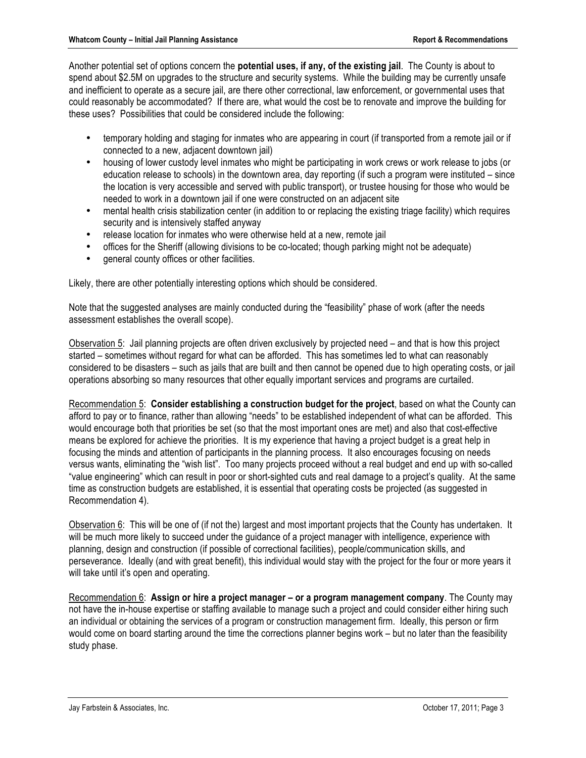Another potential set of options concern the **potential uses, if any, of the existing jail**. The County is about to spend about \$2.5M on upgrades to the structure and security systems. While the building may be currently unsafe and inefficient to operate as a secure jail, are there other correctional, law enforcement, or governmental uses that could reasonably be accommodated? If there are, what would the cost be to renovate and improve the building for these uses? Possibilities that could be considered include the following:

- temporary holding and staging for inmates who are appearing in court (if transported from a remote jail or if connected to a new, adjacent downtown jail)
- housing of lower custody level inmates who might be participating in work crews or work release to jobs (or education release to schools) in the downtown area, day reporting (if such a program were instituted – since the location is very accessible and served with public transport), or trustee housing for those who would be needed to work in a downtown jail if one were constructed on an adjacent site
- mental health crisis stabilization center (in addition to or replacing the existing triage facility) which requires security and is intensively staffed anyway
- release location for inmates who were otherwise held at a new, remote jail
- offices for the Sheriff (allowing divisions to be co-located; though parking might not be adequate)
- general county offices or other facilities.

Likely, there are other potentially interesting options which should be considered.

Note that the suggested analyses are mainly conducted during the "feasibility" phase of work (after the needs assessment establishes the overall scope).

Observation 5: Jail planning projects are often driven exclusively by projected need – and that is how this project started – sometimes without regard for what can be afforded. This has sometimes led to what can reasonably considered to be disasters – such as jails that are built and then cannot be opened due to high operating costs, or jail operations absorbing so many resources that other equally important services and programs are curtailed.

Recommendation 5: **Consider establishing a construction budget for the project**, based on what the County can afford to pay or to finance, rather than allowing "needs" to be established independent of what can be afforded. This would encourage both that priorities be set (so that the most important ones are met) and also that cost-effective means be explored for achieve the priorities. It is my experience that having a project budget is a great help in focusing the minds and attention of participants in the planning process. It also encourages focusing on needs versus wants, eliminating the "wish list". Too many projects proceed without a real budget and end up with so-called "value engineering" which can result in poor or short-sighted cuts and real damage to a project's quality. At the same time as construction budgets are established, it is essential that operating costs be projected (as suggested in Recommendation 4).

Observation 6: This will be one of (if not the) largest and most important projects that the County has undertaken. It will be much more likely to succeed under the guidance of a project manager with intelligence, experience with planning, design and construction (if possible of correctional facilities), people/communication skills, and perseverance. Ideally (and with great benefit), this individual would stay with the project for the four or more years it will take until it's open and operating.

Recommendation 6: **Assign or hire a project manager – or a program management company**. The County may not have the in-house expertise or staffing available to manage such a project and could consider either hiring such an individual or obtaining the services of a program or construction management firm. Ideally, this person or firm would come on board starting around the time the corrections planner begins work – but no later than the feasibility study phase.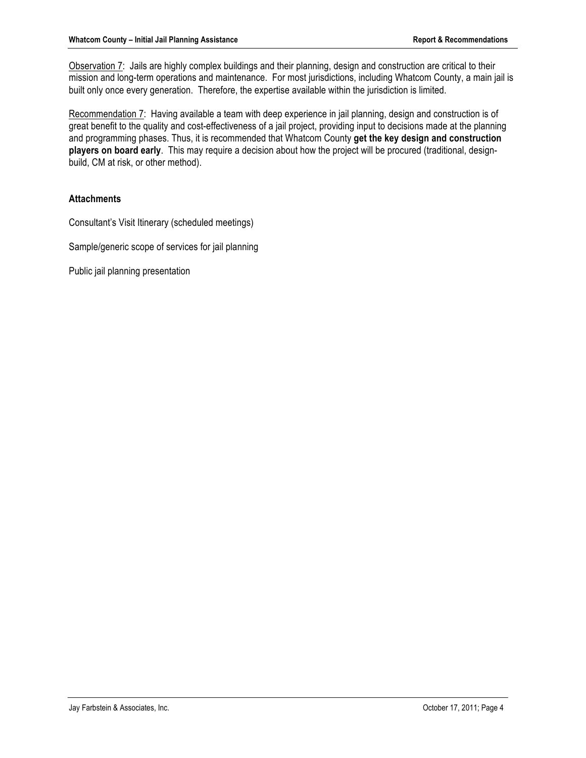Observation 7: Jails are highly complex buildings and their planning, design and construction are critical to their mission and long-term operations and maintenance. For most jurisdictions, including Whatcom County, a main jail is built only once every generation. Therefore, the expertise available within the jurisdiction is limited.

Recommendation 7: Having available a team with deep experience in jail planning, design and construction is of great benefit to the quality and cost-effectiveness of a jail project, providing input to decisions made at the planning and programming phases. Thus, it is recommended that Whatcom County **get the key design and construction players on board early**. This may require a decision about how the project will be procured (traditional, designbuild, CM at risk, or other method).

# **Attachments**

Consultant's Visit Itinerary (scheduled meetings)

Sample/generic scope of services for jail planning

Public jail planning presentation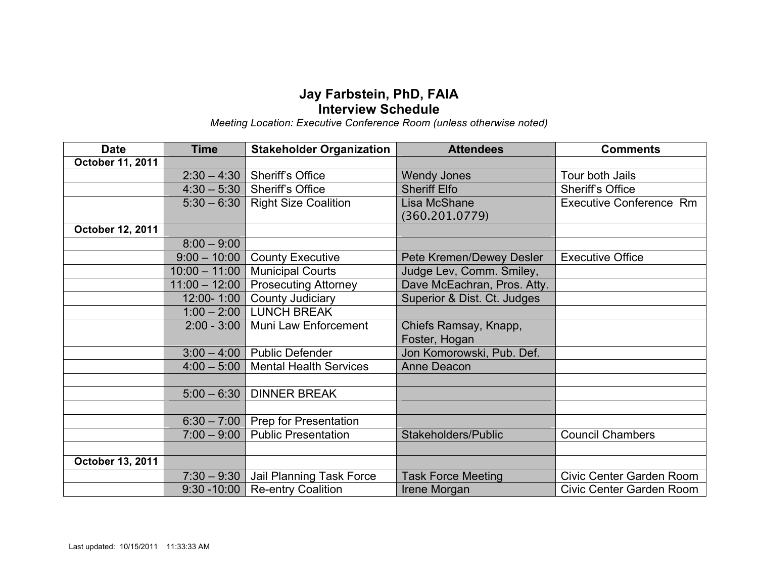# **Jay Farbstein, PhD, FAIA Interview Schedule**

*Meeting Location: Executive Conference Room (unless otherwise noted)*

| <b>Date</b>      | <b>Time</b>     | <b>Stakeholder Organization</b>           | <b>Attendees</b>            | <b>Comments</b>                |  |  |  |  |  |
|------------------|-----------------|-------------------------------------------|-----------------------------|--------------------------------|--|--|--|--|--|
| October 11, 2011 |                 |                                           |                             |                                |  |  |  |  |  |
|                  | $2:30 - 4:30$   | <b>Sheriff's Office</b>                   | <b>Wendy Jones</b>          | Tour both Jails                |  |  |  |  |  |
|                  | $4:30 - 5:30$   | <b>Sheriff's Office</b>                   | <b>Sheriff Elfo</b>         | <b>Sheriff's Office</b>        |  |  |  |  |  |
|                  | $5:30 - 6:30$   | <b>Right Size Coalition</b>               | Lisa McShane                | <b>Executive Conference Rm</b> |  |  |  |  |  |
|                  |                 |                                           | (360.201.0779)              |                                |  |  |  |  |  |
| October 12, 2011 |                 |                                           |                             |                                |  |  |  |  |  |
|                  | $8:00 - 9:00$   |                                           |                             |                                |  |  |  |  |  |
|                  | $9:00 - 10:00$  | <b>County Executive</b>                   | Pete Kremen/Dewey Desler    | <b>Executive Office</b>        |  |  |  |  |  |
|                  | $10:00 - 11:00$ | <b>Municipal Courts</b>                   | Judge Lev, Comm. Smiley,    |                                |  |  |  |  |  |
|                  | $11:00 - 12:00$ | <b>Prosecuting Attorney</b>               | Dave McEachran, Pros. Atty. |                                |  |  |  |  |  |
|                  | 12:00-1:00      | County Judiciary                          | Superior & Dist. Ct. Judges |                                |  |  |  |  |  |
|                  | $1:00 - 2:00$   | <b>LUNCH BREAK</b>                        |                             |                                |  |  |  |  |  |
|                  | $2:00 - 3:00$   | Muni Law Enforcement                      | Chiefs Ramsay, Knapp,       |                                |  |  |  |  |  |
|                  |                 |                                           | Foster, Hogan               |                                |  |  |  |  |  |
|                  | $3:00 - 4:00$   | <b>Public Defender</b>                    | Jon Komorowski, Pub. Def.   |                                |  |  |  |  |  |
|                  | $4:00 - 5:00$   | <b>Mental Health Services</b>             | <b>Anne Deacon</b>          |                                |  |  |  |  |  |
|                  |                 |                                           |                             |                                |  |  |  |  |  |
|                  | $5:00 - 6:30$   | <b>DINNER BREAK</b>                       |                             |                                |  |  |  |  |  |
|                  |                 |                                           |                             |                                |  |  |  |  |  |
|                  | $6:30 - 7:00$   | <b>Prep for Presentation</b>              |                             |                                |  |  |  |  |  |
|                  | $7:00 - 9:00$   | <b>Public Presentation</b>                | Stakeholders/Public         | <b>Council Chambers</b>        |  |  |  |  |  |
|                  |                 |                                           |                             |                                |  |  |  |  |  |
| October 13, 2011 |                 |                                           |                             |                                |  |  |  |  |  |
|                  | $7:30 - 9:30$   | Jail Planning Task Force                  | <b>Task Force Meeting</b>   | Civic Center Garden Room       |  |  |  |  |  |
|                  | $9:30 - 10:00$  | <b>Re-entry Coalition</b><br>Irene Morgan |                             | Civic Center Garden Room       |  |  |  |  |  |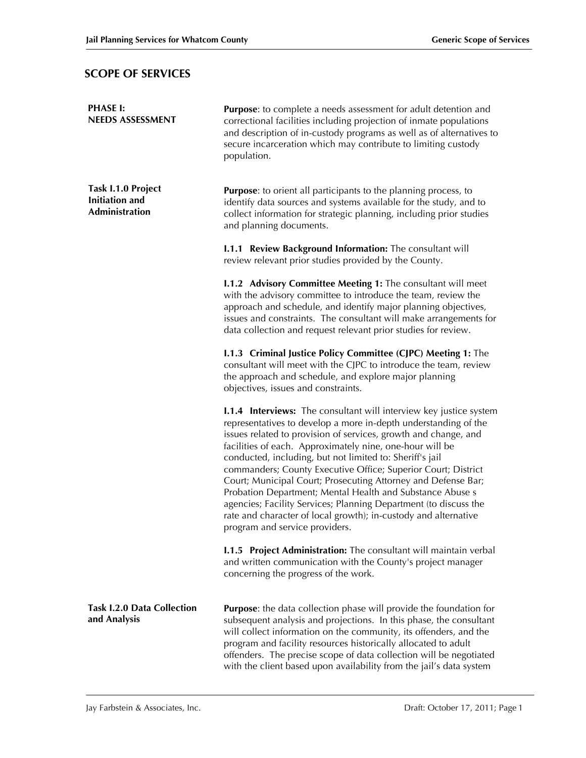# **SCOPE OF SERVICES**

| <b>PHASE I:</b><br><b>NEEDS ASSESSMENT</b>                           | <b>Purpose:</b> to complete a needs assessment for adult detention and<br>correctional facilities including projection of inmate populations<br>and description of in-custody programs as well as of alternatives to<br>secure incarceration which may contribute to limiting custody<br>population.                                                                                                                                                                                                                                                                                                                                                                                                            |  |  |  |  |  |  |
|----------------------------------------------------------------------|-----------------------------------------------------------------------------------------------------------------------------------------------------------------------------------------------------------------------------------------------------------------------------------------------------------------------------------------------------------------------------------------------------------------------------------------------------------------------------------------------------------------------------------------------------------------------------------------------------------------------------------------------------------------------------------------------------------------|--|--|--|--|--|--|
| Task I.1.0 Project<br><b>Initiation</b> and<br><b>Administration</b> | <b>Purpose:</b> to orient all participants to the planning process, to<br>identify data sources and systems available for the study, and to<br>collect information for strategic planning, including prior studies<br>and planning documents.                                                                                                                                                                                                                                                                                                                                                                                                                                                                   |  |  |  |  |  |  |
|                                                                      | <b>I.1.1 Review Background Information:</b> The consultant will<br>review relevant prior studies provided by the County.                                                                                                                                                                                                                                                                                                                                                                                                                                                                                                                                                                                        |  |  |  |  |  |  |
|                                                                      | <b>I.1.2 Advisory Committee Meeting 1:</b> The consultant will meet<br>with the advisory committee to introduce the team, review the<br>approach and schedule, and identify major planning objectives,<br>issues and constraints. The consultant will make arrangements for<br>data collection and request relevant prior studies for review.                                                                                                                                                                                                                                                                                                                                                                   |  |  |  |  |  |  |
|                                                                      | I.1.3 Criminal Justice Policy Committee (CJPC) Meeting 1: The<br>consultant will meet with the CJPC to introduce the team, review<br>the approach and schedule, and explore major planning<br>objectives, issues and constraints.                                                                                                                                                                                                                                                                                                                                                                                                                                                                               |  |  |  |  |  |  |
|                                                                      | <b>I.1.4 Interviews:</b> The consultant will interview key justice system<br>representatives to develop a more in-depth understanding of the<br>issues related to provision of services, growth and change, and<br>facilities of each. Approximately nine, one-hour will be<br>conducted, including, but not limited to: Sheriff's jail<br>commanders; County Executive Office; Superior Court; District<br>Court; Municipal Court; Prosecuting Attorney and Defense Bar;<br>Probation Department; Mental Health and Substance Abuse s<br>agencies; Facility Services; Planning Department (to discuss the<br>rate and character of local growth); in-custody and alternative<br>program and service providers. |  |  |  |  |  |  |
|                                                                      | <b>I.1.5 Project Administration:</b> The consultant will maintain verbal<br>and written communication with the County's project manager<br>concerning the progress of the work.                                                                                                                                                                                                                                                                                                                                                                                                                                                                                                                                 |  |  |  |  |  |  |
| <b>Task I.2.0 Data Collection</b><br>and Analysis                    | <b>Purpose:</b> the data collection phase will provide the foundation for<br>subsequent analysis and projections. In this phase, the consultant<br>will collect information on the community, its offenders, and the<br>program and facility resources historically allocated to adult<br>offenders. The precise scope of data collection will be negotiated<br>with the client based upon availability from the jail's data system                                                                                                                                                                                                                                                                             |  |  |  |  |  |  |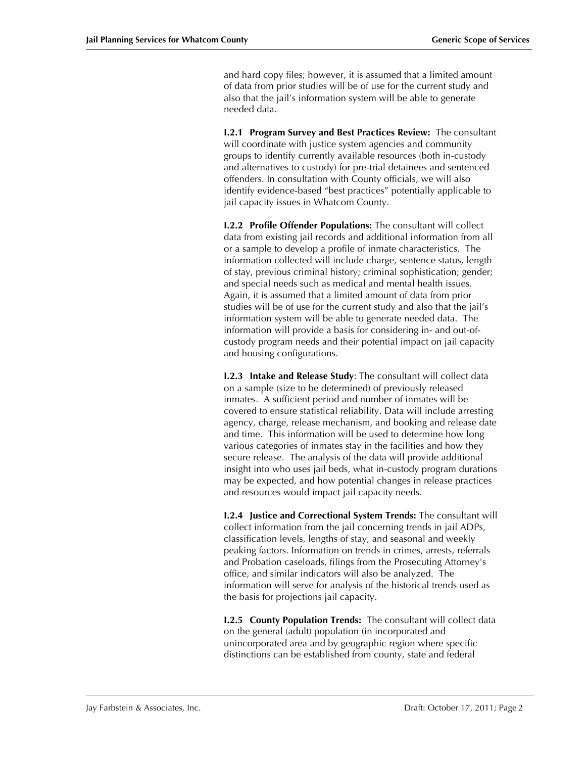and hard copy files; however, it is assumed that a limited amount of data from prior studies will be of use for the current study and also that the jail's information system will be able to generate needed data.

**I.2.1 Program Survey and Best Practices Review:** The consultant will coordinate with justice system agencies and community groups to identify currently available resources (both in-custody and alternatives to custody) for pre-trial detainees and sentenced offenders. In consultation with County officials, we will also identify evidence-based "best practices" potentially applicable to jail capacity issues in Whatcom County.

**I.2.2 Profile Offender Populations:** The consultant will collect data from existing jail records and additional information from all or a sample to develop a profile of inmate characteristics. The information collected will include charge, sentence status, length of stay, previous criminal history; criminal sophistication; gender; and special needs such as medical and mental health issues. Again, it is assumed that a limited amount of data from prior studies will be of use for the current study and also that the jail's information system will be able to generate needed data. The information will provide a basis for considering in- and out-ofcustody program needs and their potential impact on jail capacity and housing configurations.

**I.2.3 Intake and Release Study**: The consultant will collect data on a sample (size to be determined) of previously released inmates. A sufficient period and number of inmates will be covered to ensure statistical reliability. Data will include arresting agency, charge, release mechanism, and booking and release date and time. This information will be used to determine how long various categories of inmates stay in the facilities and how they secure release. The analysis of the data will provide additional insight into who uses jail beds, what in-custody program durations may be expected, and how potential changes in release practices and resources would impact jail capacity needs.

**I.2.4 Justice and Correctional System Trends:** The consultant will collect information from the jail concerning trends in jail ADPs, classification levels, lengths of stay, and seasonal and weekly peaking factors. Information on trends in crimes, arrests, referrals and Probation caseloads, filings from the Prosecuting Attorney's office, and similar indicators will also be analyzed. The information will serve for analysis of the historical trends used as the basis for projections jail capacity.

**I.2.5 County Population Trends:** The consultant will collect data on the general (adult) population (in incorporated and unincorporated area and by geographic region where specific distinctions can be established from county, state and federal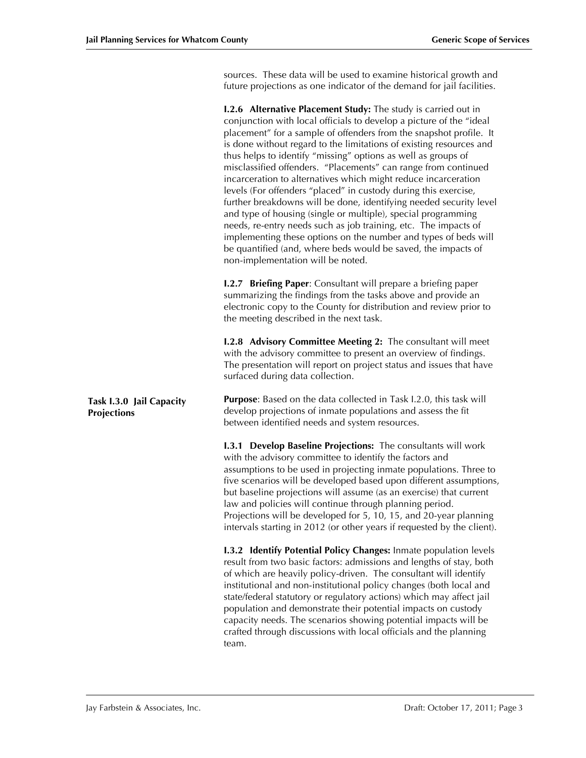sources. These data will be used to examine historical growth and future projections as one indicator of the demand for jail facilities.

|                                                | <b>I.2.6 Alternative Placement Study:</b> The study is carried out in<br>conjunction with local officials to develop a picture of the "ideal<br>placement" for a sample of offenders from the snapshot profile. It<br>is done without regard to the limitations of existing resources and<br>thus helps to identify "missing" options as well as groups of<br>misclassified offenders. "Placements" can range from continued<br>incarceration to alternatives which might reduce incarceration<br>levels (For offenders "placed" in custody during this exercise,<br>further breakdowns will be done, identifying needed security level<br>and type of housing (single or multiple), special programming<br>needs, re-entry needs such as job training, etc. The impacts of<br>implementing these options on the number and types of beds will<br>be quantified (and, where beds would be saved, the impacts of<br>non-implementation will be noted. |  |  |  |  |  |  |
|------------------------------------------------|------------------------------------------------------------------------------------------------------------------------------------------------------------------------------------------------------------------------------------------------------------------------------------------------------------------------------------------------------------------------------------------------------------------------------------------------------------------------------------------------------------------------------------------------------------------------------------------------------------------------------------------------------------------------------------------------------------------------------------------------------------------------------------------------------------------------------------------------------------------------------------------------------------------------------------------------------|--|--|--|--|--|--|
|                                                | <b>I.2.7 Briefing Paper:</b> Consultant will prepare a briefing paper<br>summarizing the findings from the tasks above and provide an<br>electronic copy to the County for distribution and review prior to<br>the meeting described in the next task.                                                                                                                                                                                                                                                                                                                                                                                                                                                                                                                                                                                                                                                                                               |  |  |  |  |  |  |
|                                                | <b>I.2.8 Advisory Committee Meeting 2:</b> The consultant will meet<br>with the advisory committee to present an overview of findings.<br>The presentation will report on project status and issues that have<br>surfaced during data collection.                                                                                                                                                                                                                                                                                                                                                                                                                                                                                                                                                                                                                                                                                                    |  |  |  |  |  |  |
| Task I.3.0 Jail Capacity<br><b>Projections</b> | <b>Purpose:</b> Based on the data collected in Task I.2.0, this task will<br>develop projections of inmate populations and assess the fit<br>between identified needs and system resources.                                                                                                                                                                                                                                                                                                                                                                                                                                                                                                                                                                                                                                                                                                                                                          |  |  |  |  |  |  |
|                                                | <b>I.3.1 Develop Baseline Projections:</b> The consultants will work<br>with the advisory committee to identify the factors and<br>assumptions to be used in projecting inmate populations. Three to<br>five scenarios will be developed based upon different assumptions,<br>but baseline projections will assume (as an exercise) that current<br>law and policies will continue through planning period.<br>Projections will be developed for 5, 10, 15, and 20-year planning<br>intervals starting in 2012 (or other years if requested by the client).                                                                                                                                                                                                                                                                                                                                                                                          |  |  |  |  |  |  |
|                                                | <b>I.3.2 Identify Potential Policy Changes:</b> Inmate population levels<br>result from two basic factors: admissions and lengths of stay, both<br>of which are heavily policy-driven. The consultant will identify<br>institutional and non-institutional policy changes (both local and<br>state/federal statutory or regulatory actions) which may affect jail<br>population and demonstrate their potential impacts on custody<br>capacity needs. The scenarios showing potential impacts will be<br>crafted through discussions with local officials and the planning<br>team.                                                                                                                                                                                                                                                                                                                                                                  |  |  |  |  |  |  |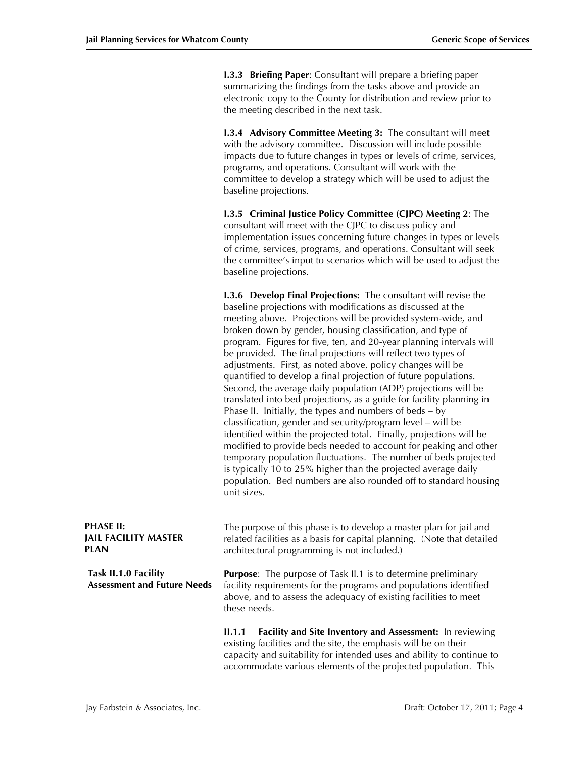**I.3.3 Briefing Paper**: Consultant will prepare a briefing paper summarizing the findings from the tasks above and provide an electronic copy to the County for distribution and review prior to the meeting described in the next task.

**I.3.4 Advisory Committee Meeting 3:** The consultant will meet with the advisory committee. Discussion will include possible impacts due to future changes in types or levels of crime, services, programs, and operations. Consultant will work with the committee to develop a strategy which will be used to adjust the baseline projections.

**I.3.5 Criminal Justice Policy Committee (CJPC) Meeting 2**: The consultant will meet with the CJPC to discuss policy and implementation issues concerning future changes in types or levels of crime, services, programs, and operations. Consultant will seek the committee's input to scenarios which will be used to adjust the baseline projections.

**I.3.6 Develop Final Projections:** The consultant will revise the baseline projections with modifications as discussed at the meeting above. Projections will be provided system-wide, and broken down by gender, housing classification, and type of program. Figures for five, ten, and 20-year planning intervals will be provided. The final projections will reflect two types of adjustments. First, as noted above, policy changes will be quantified to develop a final projection of future populations. Second, the average daily population (ADP) projections will be translated into bed projections, as a guide for facility planning in Phase II. Initially, the types and numbers of beds – by classification, gender and security/program level – will be identified within the projected total. Finally, projections will be modified to provide beds needed to account for peaking and other temporary population fluctuations. The number of beds projected is typically 10 to 25% higher than the projected average daily population. Bed numbers are also rounded off to standard housing unit sizes.

| <b>PHASE II:</b><br><b>JAIL FACILITY MASTER</b><br>PLAN    | The purpose of this phase is to develop a master plan for jail and<br>related facilities as a basis for capital planning. (Note that detailed<br>architectural programming is not included.)                                                                                     |  |  |  |  |  |  |
|------------------------------------------------------------|----------------------------------------------------------------------------------------------------------------------------------------------------------------------------------------------------------------------------------------------------------------------------------|--|--|--|--|--|--|
| Task II.1.0 Facility<br><b>Assessment and Future Needs</b> | <b>Purpose:</b> The purpose of Task II.1 is to determine preliminary<br>facility requirements for the programs and populations identified<br>above, and to assess the adequacy of existing facilities to meet<br>these needs.                                                    |  |  |  |  |  |  |
|                                                            | Facility and Site Inventory and Assessment: In reviewing<br>II.1.1<br>existing facilities and the site, the emphasis will be on their<br>capacity and suitability for intended uses and ability to continue to<br>accommodate various elements of the projected population. This |  |  |  |  |  |  |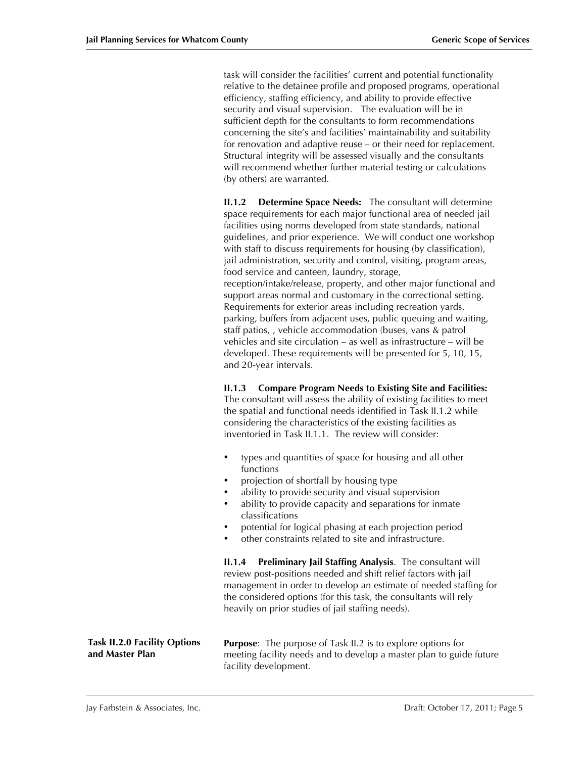task will consider the facilities' current and potential functionality relative to the detainee profile and proposed programs, operational efficiency, staffing efficiency, and ability to provide effective security and visual supervision. The evaluation will be in sufficient depth for the consultants to form recommendations concerning the site's and facilities' maintainability and suitability for renovation and adaptive reuse – or their need for replacement. Structural integrity will be assessed visually and the consultants will recommend whether further material testing or calculations (by others) are warranted.

**II.1.2 Determine Space Needs:** The consultant will determine space requirements for each major functional area of needed jail facilities using norms developed from state standards, national guidelines, and prior experience. We will conduct one workshop with staff to discuss requirements for housing (by classification), jail administration, security and control, visiting, program areas, food service and canteen, laundry, storage, reception/intake/release, property, and other major functional and support areas normal and customary in the correctional setting. Requirements for exterior areas including recreation yards, parking, buffers from adjacent uses, public queuing and waiting, staff patios, , vehicle accommodation (buses, vans & patrol vehicles and site circulation – as well as infrastructure – will be developed. These requirements will be presented for 5, 10, 15, and 20-year intervals.

#### **II.1.3 Compare Program Needs to Existing Site and Facilities:**

The consultant will assess the ability of existing facilities to meet the spatial and functional needs identified in Task II.1.2 while considering the characteristics of the existing facilities as inventoried in Task II.1.1. The review will consider:

- types and quantities of space for housing and all other functions
- projection of shortfall by housing type
- ability to provide security and visual supervision
- ability to provide capacity and separations for inmate classifications
- potential for logical phasing at each projection period
- other constraints related to site and infrastructure.

**II.1.4 Preliminary Jail Staffing Analysis**. The consultant will review post-positions needed and shift relief factors with jail management in order to develop an estimate of needed staffing for the considered options (for this task, the consultants will rely heavily on prior studies of jail staffing needs).

**Purpose**: The purpose of Task II.2 is to explore options for meeting facility needs and to develop a master plan to guide future facility development. **Task II.2.0 Facility Options and Master Plan**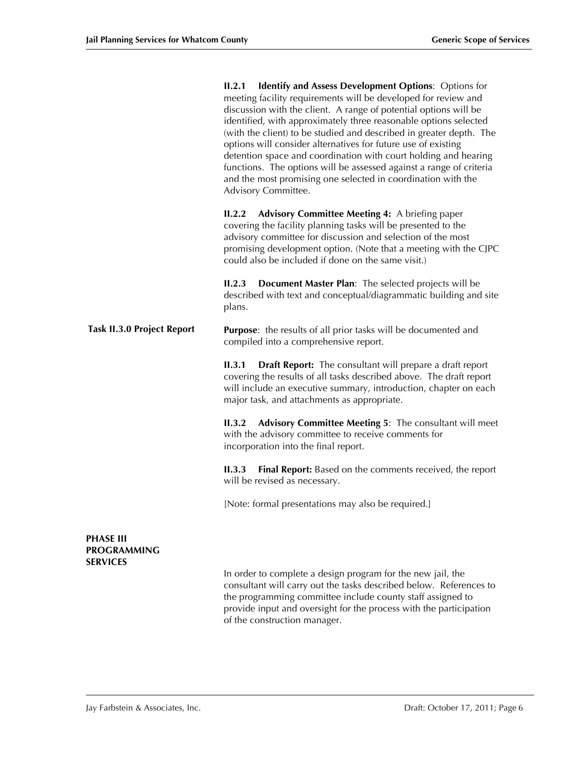|                                                    | II.2.1<br>Identify and Assess Development Options: Options for<br>meeting facility requirements will be developed for review and<br>discussion with the client. A range of potential options will be<br>identified, with approximately three reasonable options selected<br>(with the client) to be studied and described in greater depth. The<br>options will consider alternatives for future use of existing<br>detention space and coordination with court holding and hearing<br>functions. The options will be assessed against a range of criteria<br>and the most promising one selected in coordination with the<br>Advisory Committee. |  |  |  |  |  |  |
|----------------------------------------------------|---------------------------------------------------------------------------------------------------------------------------------------------------------------------------------------------------------------------------------------------------------------------------------------------------------------------------------------------------------------------------------------------------------------------------------------------------------------------------------------------------------------------------------------------------------------------------------------------------------------------------------------------------|--|--|--|--|--|--|
|                                                    | Advisory Committee Meeting 4: A briefing paper<br>II.2.2<br>covering the facility planning tasks will be presented to the<br>advisory committee for discussion and selection of the most<br>promising development option. (Note that a meeting with the CJPC<br>could also be included if done on the same visit.)                                                                                                                                                                                                                                                                                                                                |  |  |  |  |  |  |
|                                                    | Document Master Plan: The selected projects will be<br>II.2.3<br>described with text and conceptual/diagrammatic building and site<br>plans.                                                                                                                                                                                                                                                                                                                                                                                                                                                                                                      |  |  |  |  |  |  |
| <b>Task II.3.0 Project Report</b>                  | <b>Purpose:</b> the results of all prior tasks will be documented and<br>compiled into a comprehensive report.                                                                                                                                                                                                                                                                                                                                                                                                                                                                                                                                    |  |  |  |  |  |  |
|                                                    | II.3.1<br><b>Draft Report:</b> The consultant will prepare a draft report<br>covering the results of all tasks described above. The draft report<br>will include an executive summary, introduction, chapter on each<br>major task, and attachments as appropriate.                                                                                                                                                                                                                                                                                                                                                                               |  |  |  |  |  |  |
|                                                    | Advisory Committee Meeting 5: The consultant will meet<br>II.3.2<br>with the advisory committee to receive comments for<br>incorporation into the final report.                                                                                                                                                                                                                                                                                                                                                                                                                                                                                   |  |  |  |  |  |  |
|                                                    | <b>Final Report:</b> Based on the comments received, the report<br>II.3.3<br>will be revised as necessary.                                                                                                                                                                                                                                                                                                                                                                                                                                                                                                                                        |  |  |  |  |  |  |
|                                                    | [Note: formal presentations may also be required.]                                                                                                                                                                                                                                                                                                                                                                                                                                                                                                                                                                                                |  |  |  |  |  |  |
| <b>PHASE III</b><br>PROGRAMMING<br><b>SERVICES</b> |                                                                                                                                                                                                                                                                                                                                                                                                                                                                                                                                                                                                                                                   |  |  |  |  |  |  |

In order to complete a design program for the new jail, the consultant will carry out the tasks described below. References to the programming committee include county staff assigned to provide input and oversight for the process with the participation of the construction manager.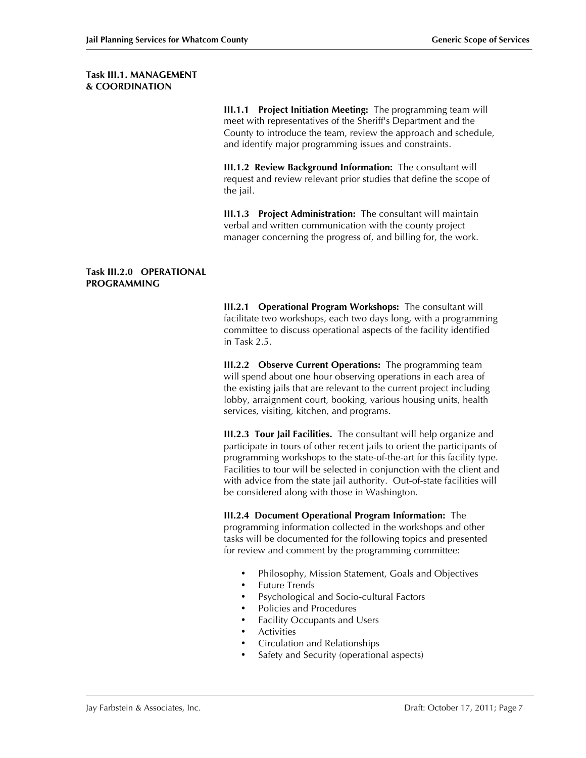### **Task III.1. MANAGEMENT & COORDINATION**

**III.1.1 Project Initiation Meeting:** The programming team will meet with representatives of the Sheriff's Department and the County to introduce the team, review the approach and schedule, and identify major programming issues and constraints.

**III.1.2 Review Background Information:** The consultant will request and review relevant prior studies that define the scope of the jail.

**III.1.3 Project Administration:** The consultant will maintain verbal and written communication with the county project manager concerning the progress of, and billing for, the work.

#### **Task III.2.0 OPERATIONAL PROGRAMMING**

**III.2.1 Operational Program Workshops:** The consultant will facilitate two workshops, each two days long, with a programming committee to discuss operational aspects of the facility identified in Task 2.5.

**III.2.2 Observe Current Operations:** The programming team will spend about one hour observing operations in each area of the existing jails that are relevant to the current project including lobby, arraignment court, booking, various housing units, health services, visiting, kitchen, and programs.

**III.2.3 Tour Jail Facilities.** The consultant will help organize and participate in tours of other recent jails to orient the participants of programming workshops to the state-of-the-art for this facility type. Facilities to tour will be selected in conjunction with the client and with advice from the state jail authority. Out-of-state facilities will be considered along with those in Washington.

#### **III.2.4 Document Operational Program Information:** The

programming information collected in the workshops and other tasks will be documented for the following topics and presented for review and comment by the programming committee:

- Philosophy, Mission Statement, Goals and Objectives
- Future Trends
- Psychological and Socio-cultural Factors
- Policies and Procedures
- Facility Occupants and Users<br>• Activities
- **Activities**
- Circulation and Relationships
- Safety and Security (operational aspects)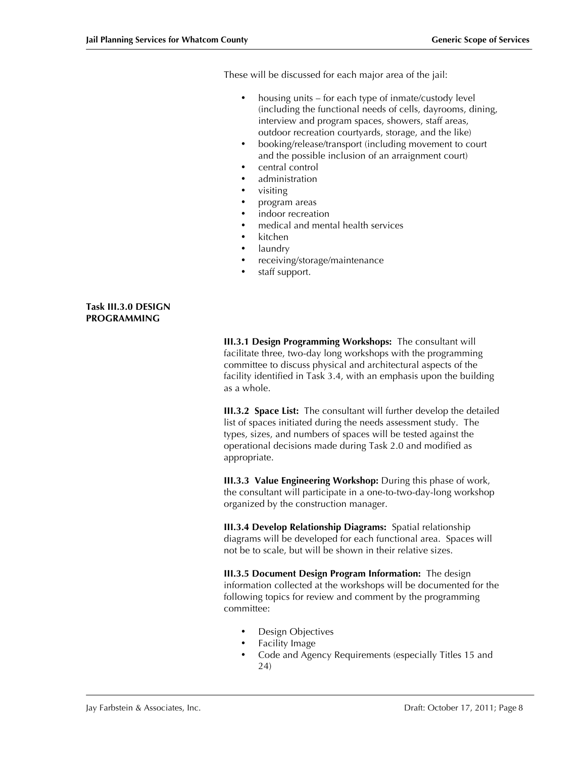These will be discussed for each major area of the jail:

- housing units for each type of inmate/custody level (including the functional needs of cells, dayrooms, dining, interview and program spaces, showers, staff areas, outdoor recreation courtyards, storage, and the like)
- booking/release/transport (including movement to court and the possible inclusion of an arraignment court)
- central control
- administration
- visiting
- program areas
- indoor recreation
- medical and mental health services
- kitchen
- laundry
- receiving/storage/maintenance
- staff support.

#### **Task III.3.0 DESIGN PROGRAMMING**

**III.3.1 Design Programming Workshops:** The consultant will facilitate three, two-day long workshops with the programming committee to discuss physical and architectural aspects of the facility identified in Task 3.4, with an emphasis upon the building as a whole.

**III.3.2 Space List:** The consultant will further develop the detailed list of spaces initiated during the needs assessment study. The types, sizes, and numbers of spaces will be tested against the operational decisions made during Task 2.0 and modified as appropriate.

**III.3.3 Value Engineering Workshop:** During this phase of work, the consultant will participate in a one-to-two-day-long workshop organized by the construction manager.

**III.3.4 Develop Relationship Diagrams:** Spatial relationship diagrams will be developed for each functional area. Spaces will not be to scale, but will be shown in their relative sizes.

**III.3.5 Document Design Program Information:** The design information collected at the workshops will be documented for the following topics for review and comment by the programming committee:

- Design Objectives
- Facility Image
- Code and Agency Requirements (especially Titles 15 and 24)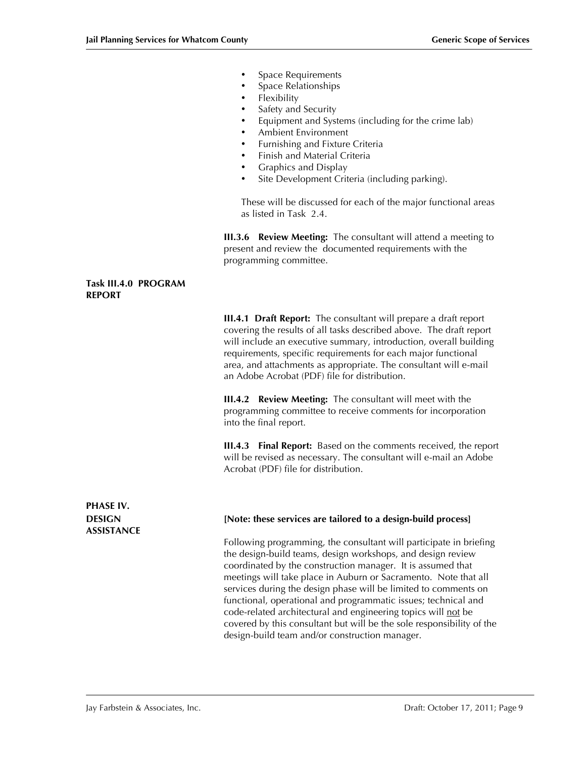- **Space Requirements**
- Space Relationships
- Flexibility
- Safety and Security
- Equipment and Systems (including for the crime lab)
- Ambient Environment
- Furnishing and Fixture Criteria
- Finish and Material Criteria
- Graphics and Display
- Site Development Criteria (including parking).

These will be discussed for each of the major functional areas as listed in Task 2.4.

**III.3.6 Review Meeting:** The consultant will attend a meeting to present and review the documented requirements with the programming committee.

#### **Task III.4.0 PROGRAM REPORT**

**III.4.1 Draft Report:** The consultant will prepare a draft report covering the results of all tasks described above. The draft report will include an executive summary, introduction, overall building requirements, specific requirements for each major functional area, and attachments as appropriate. The consultant will e-mail an Adobe Acrobat (PDF) file for distribution.

**III.4.2 Review Meeting:** The consultant will meet with the programming committee to receive comments for incorporation into the final report.

**III.4.3 Final Report:** Based on the comments received, the report will be revised as necessary. The consultant will e-mail an Adobe Acrobat (PDF) file for distribution.

**PHASE IV. ASSISTANCE**

#### **DESIGN [Note: these services are tailored to a design-build process]**

Following programming, the consultant will participate in briefing the design-build teams, design workshops, and design review coordinated by the construction manager. It is assumed that meetings will take place in Auburn or Sacramento. Note that all services during the design phase will be limited to comments on functional, operational and programmatic issues; technical and code-related architectural and engineering topics will not be covered by this consultant but will be the sole responsibility of the design-build team and/or construction manager.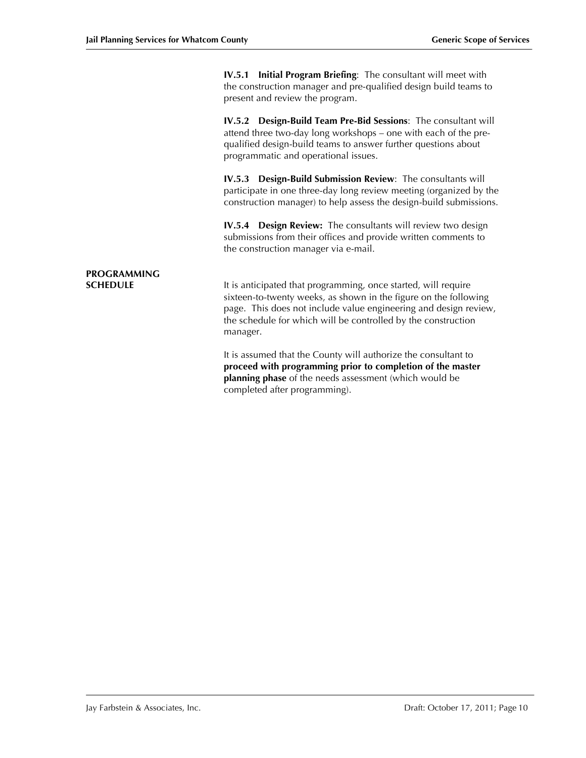**IV.5.1 Initial Program Briefing**: The consultant will meet with the construction manager and pre-qualified design build teams to present and review the program.

**IV.5.2 Design-Build Team Pre-Bid Sessions**: The consultant will attend three two-day long workshops – one with each of the prequalified design-build teams to answer further questions about programmatic and operational issues.

**IV.5.3 Design-Build Submission Review**: The consultants will participate in one three-day long review meeting (organized by the construction manager) to help assess the design-build submissions.

**IV.5.4 Design Review:** The consultants will review two design submissions from their offices and provide written comments to the construction manager via e-mail.

# **PROGRAMMING**

**SCHEDULE It is anticipated that programming, once started, will require** sixteen-to-twenty weeks, as shown in the figure on the following page. This does not include value engineering and design review, the schedule for which will be controlled by the construction manager.

> It is assumed that the County will authorize the consultant to **proceed with programming prior to completion of the master planning phase** of the needs assessment (which would be completed after programming).